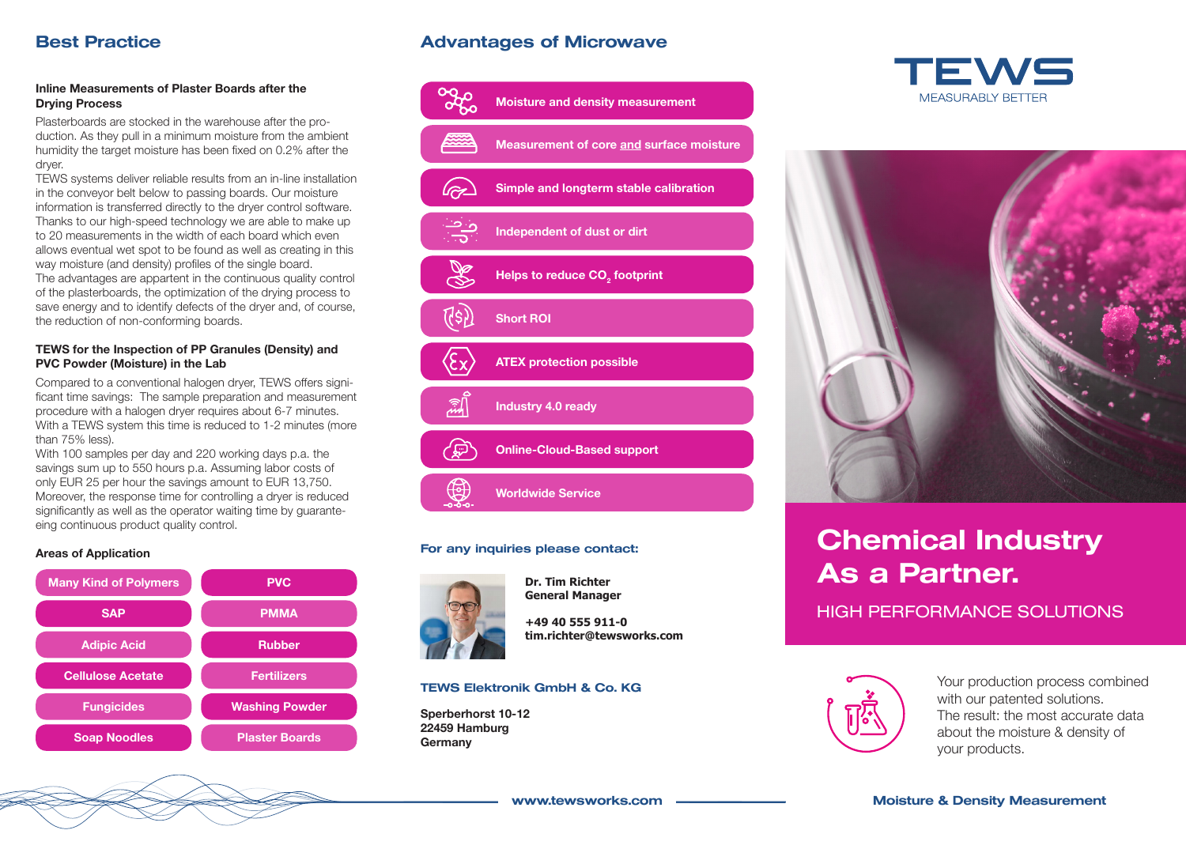### **Inline Measurements of Plaster Boards after the Drying Process**

Plasterboards are stocked in the warehouse after the production. As they pull in a minimum moisture from the ambient humidity the target moisture has been fixed on 0.2% after the dryer.

TEWS systems deliver reliable results from an in-line installation in the conveyor belt below to passing boards. Our moisture information is transferred directly to the dryer control software. Thanks to our high-speed technology we are able to make up to 20 measurements in the width of each board which even allows eventual wet spot to be found as well as creating in this way moisture (and density) profiles of the single board. The advantages are appartent in the continuous quality control of the plasterboards, the optimization of the drying process to save energy and to identify defects of the dryer and, of course, the reduction of non-conforming boards.

#### **TEWS for the Inspection of PP Granules (Density) and PVC Powder (Moisture) in the Lab**

Compared to a conventional halogen dryer, TEWS offers significant time savings: The sample preparation and measurement procedure with a halogen dryer requires about 6-7 minutes. With a TEWS system this time is reduced to 1-2 minutes (more than 75% less).

With 100 samples per day and 220 working days p.a. the savings sum up to 550 hours p.a. Assuming labor costs of only EUR 25 per hour the savings amount to EUR 13,750. Moreover, the response time for controlling a dryer is reduced significantly as well as the operator waiting time by guaranteeing continuous product quality control.

### **Areas of Application**



## **Best Practice Community Community Advantages of Microwave**



#### For any inquiries please contact:



**Dr. Tim Richter General Manager**

**+49 40 555 911-0 tim.richter@tewsworks.com**

#### TEWS Elektronik GmbH & Co. KG

**Sperberhorst 10-12 22459 Hamburg Germany**





# Chemical Industry As a Partner.

HIGH PERFORMANCE SOLUTIONS



Your production process combined with our patented solutions. The result: the most accurate data about the moisture & density of your products.